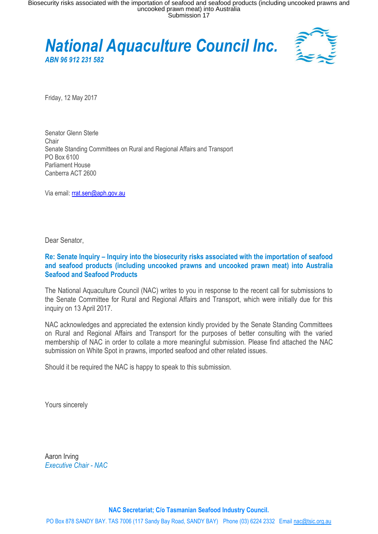Biosecurity risks associated with the importation of seafood and seafood products (including uncooked prawns and<br>uncooked prawn meat) into Australia<br>Submission 17

*National Aquaculture Council Inc. ABN 96 912 231 582* 



Friday, 12 May 2017

Senator Glenn Sterle Chair Senate Standing Committees on Rural and Regional Affairs and Transport PO Box 6100 Parliament House Canberra ACT 2600

Via email: rrat.sen@aph.gov.au

Dear Senator,

#### **Re: Senate Inquiry – Inquiry into the biosecurity risks associated with the importation of seafood and seafood products (including uncooked prawns and uncooked prawn meat) into Australia Seafood and Seafood Products**

The National Aquaculture Council (NAC) writes to you in response to the recent call for submissions to the Senate Committee for Rural and Regional Affairs and Transport, which were initially due for this inquiry on 13 April 2017.

NAC acknowledges and appreciated the extension kindly provided by the Senate Standing Committees on Rural and Regional Affairs and Transport for the purposes of better consulting with the varied membership of NAC in order to collate a more meaningful submission. Please find attached the NAC submission on White Spot in prawns, imported seafood and other related issues.

Should it be required the NAC is happy to speak to this submission.

Yours sincerely

Aaron Irving *Executive Chair - NAC* 

**NAC Secretariat; C/o Tasmanian Seafood Industry Council.** 

PO Box 878 SANDY BAY. TAS 7006 (117 Sandy Bay Road, SANDY BAY) Phone (03) 6224 2332 Email nac@tsic.org.au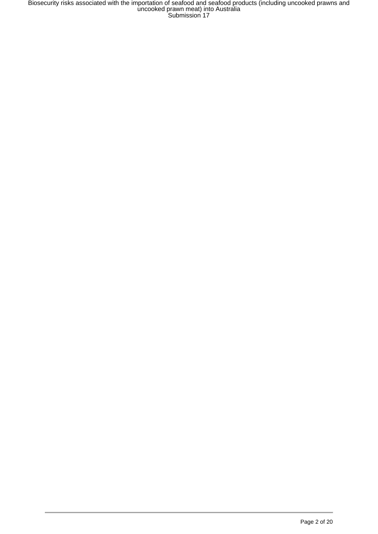Biosecurity risks associated with the importation of seafood and seafood products (including uncooked prawns and uncooked prawn meat) into Australia Submission 17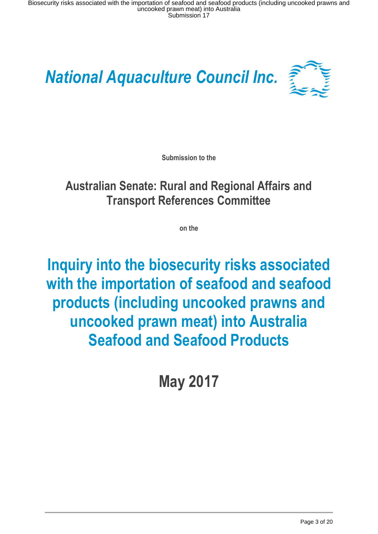Biosecurity risks associated with the importation of seafood and seafood products (including uncooked prawns and<br>uncooked prawn meat) into Australia<br>Submission 17



**Submission to the**

# **Australian Senate: Rural and Regional Affairs and Transport References Committee**

**on the**

**Inquiry into the biosecurity risks associated with the importation of seafood and seafood products (including uncooked prawns and uncooked prawn meat) into Australia Seafood and Seafood Products**

**May 2017**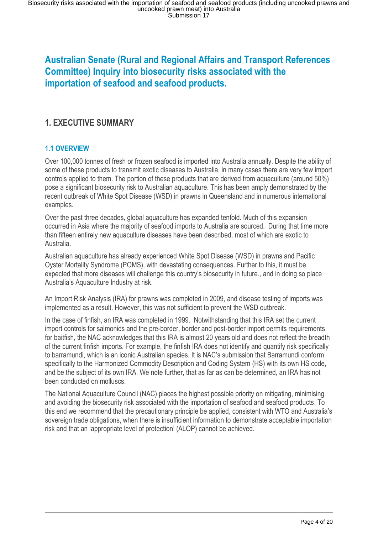# **Australian Senate (Rural and Regional Affairs and Transport References Committee) Inquiry into biosecurity risks associated with the importation of seafood and seafood products.**

# **1. EXECUTIVE SUMMARY**

# **1.1 OVERVIEW**

Over 100,000 tonnes of fresh or frozen seafood is imported into Australia annually. Despite the ability of some of these products to transmit exotic diseases to Australia, in many cases there are very few import controls applied to them. The portion of these products that are derived from aquaculture (around 50%) pose a significant biosecurity risk to Australian aquaculture. This has been amply demonstrated by the recent outbreak of White Spot Disease (WSD) in prawns in Queensland and in numerous international examples.

Over the past three decades, global aquaculture has expanded tenfold. Much of this expansion occurred in Asia where the majority of seafood imports to Australia are sourced. During that time more than fifteen entirely new aquaculture diseases have been described, most of which are exotic to Australia.

Australian aquaculture has already experienced White Spot Disease (WSD) in prawns and Pacific Oyster Mortality Syndrome (POMS), with devastating consequences. Further to this, it must be expected that more diseases will challenge this country"s biosecurity in future., and in doing so place Australia"s Aquaculture Industry at risk.

An Import Risk Analysis (IRA) for prawns was completed in 2009, and disease testing of imports was implemented as a result. However, this was not sufficient to prevent the WSD outbreak.

In the case of finfish, an IRA was completed in 1999. Notwithstanding that this IRA set the current import controls for salmonids and the pre-border, border and post-border import permits requirements for baitfish, the NAC acknowledges that this IRA is almost 20 years old and does not reflect the breadth of the current finfish imports. For example, the finfish IRA does not identify and quantify risk specifically to barramundi, which is an iconic Australian species. It is NAC"s submission that Barramundi conform specifically to the Harmonized Commodity Description and Coding System (HS) with its own HS code, and be the subject of its own IRA. We note further, that as far as can be determined, an IRA has not been conducted on molluscs.

The National Aquaculture Council (NAC) places the highest possible priority on mitigating, minimising and avoiding the biosecurity risk associated with the importation of seafood and seafood products. To this end we recommend that the precautionary principle be applied, consistent with WTO and Australia"s sovereign trade obligations, when there is insufficient information to demonstrate acceptable importation risk and that an "appropriate level of protection" (ALOP) cannot be achieved.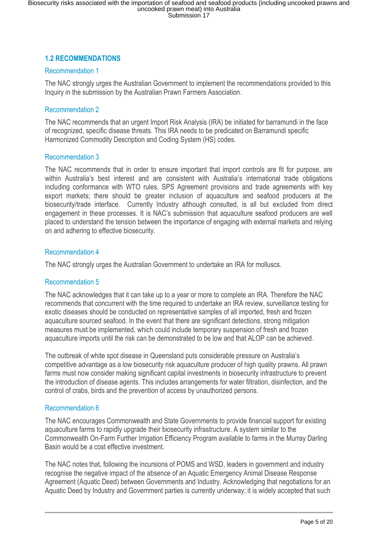# **1.2 RECOMMENDATIONS**

#### Recommendation 1

The NAC strongly urges the Australian Government to implement the recommendations provided to this Inquiry in the submission by the Australian Prawn Farmers Association.

#### Recommendation 2

The NAC recommends that an urgent Import Risk Analysis (IRA) be initiated for barramundi in the face of recognized, specific disease threats. This IRA needs to be predicated on Barramundi specific Harmonized Commodity Description and Coding System (HS) codes.

#### Recommendation 3

The NAC recommends that in order to ensure important that import controls are fit for purpose, are within Australia's best interest and are consistent with Australia's international trade obligations including conformance with WTO rules, SPS Agreement provisions and trade agreements with key export markets; there should be greater inclusion of aquaculture and seafood producers at the biosecurity/trade interface. Currently Industry although consulted, is all but excluded from direct engagement in these processes. It is NAC"s submission that aquaculture seafood producers are well placed to understand the tension between the importance of engaging with external markets and relying on and adhering to effective biosecurity.

#### Recommendation 4

The NAC strongly urges the Australian Government to undertake an IRA for molluscs.

#### Recommendation 5

The NAC acknowledges that it can take up to a year or more to complete an IRA. Therefore the NAC recommends that concurrent with the time required to undertake an IRA review, surveillance testing for exotic diseases should be conducted on representative samples of all imported, fresh and frozen aquaculture sourced seafood. In the event that there are significant detections, strong mitigation measures must be implemented, which could include temporary suspension of fresh and frozen aquaculture imports until the risk can be demonstrated to be low and that ALOP can be achieved.

The outbreak of white spot disease in Queensland puts considerable pressure on Australia"s competitive advantage as a low biosecurity risk aquaculture producer of high quality prawns. All prawn farms must now consider making significant capital investments in biosecurity infrastructure to prevent the introduction of disease agents. This includes arrangements for water filtration, disinfection, and the control of crabs, birds and the prevention of access by unauthorized persons.

#### Recommendation 6

The NAC encourages Commonwealth and State Governments to provide financial support for existing aquaculture farms to rapidly upgrade their biosecurity infrastructure. A system similar to the Commonwealth On-Farm Further Irrigation Efficiency Program available to farms in the Murray Darling Basin would be a cost effective investment.

The NAC notes that, following the incursions of POMS and WSD, leaders in government and industry recognise the negative impact of the absence of an Aquatic Emergency Animal Disease Response Agreement (Aquatic Deed) between Governments and Industry. Acknowledging that negotiations for an Aquatic Deed by Industry and Government parties is currently underway; it is widely accepted that such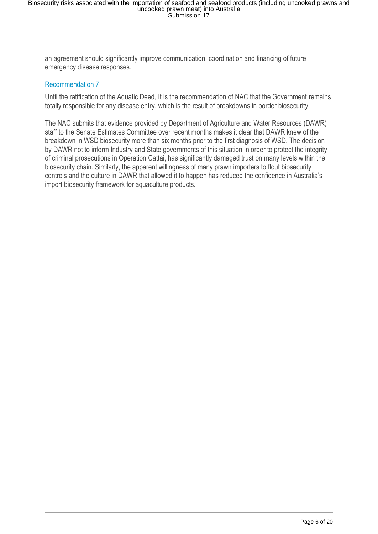an agreement should significantly improve communication, coordination and financing of future emergency disease responses.

#### Recommendation 7

Until the ratification of the Aquatic Deed, It is the recommendation of NAC that the Government remains totally responsible for any disease entry, which is the result of breakdowns in border biosecurity.

The NAC submits that evidence provided by Department of Agriculture and Water Resources (DAWR) staff to the Senate Estimates Committee over recent months makes it clear that DAWR knew of the breakdown in WSD biosecurity more than six months prior to the first diagnosis of WSD. The decision by DAWR not to inform Industry and State governments of this situation in order to protect the integrity of criminal prosecutions in Operation Cattai, has significantly damaged trust on many levels within the biosecurity chain. Similarly, the apparent willingness of many prawn importers to flout biosecurity controls and the culture in DAWR that allowed it to happen has reduced the confidence in Australia"s import biosecurity framework for aquaculture products.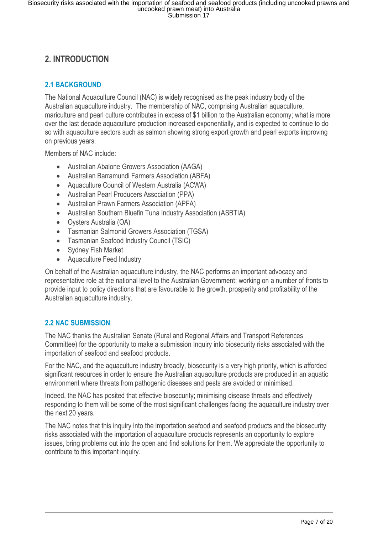# **2. INTRODUCTION**

# **2.1 BACKGROUND**

The National Aquaculture Council (NAC) is widely recognised as the peak industry body of the Australian aquaculture industry. The membership of NAC, comprising Australian aquaculture, mariculture and pearl culture contributes in excess of \$1 billion to the Australian economy; what is more over the last decade aquaculture production increased exponentially, and is expected to continue to do so with aquaculture sectors such as salmon showing strong export growth and pearl exports improving on previous years.

Members of NAC include:

- Australian Abalone Growers Association (AAGA)
- Australian Barramundi Farmers Association (ABFA)
- Aquaculture Council of Western Australia (ACWA)
- Australian Pearl Producers Association (PPA)
- Australian Prawn Farmers Association (APFA)
- Australian Southern Bluefin Tuna Industry Association (ASBTIA)
- Oysters Australia (OA)
- Tasmanian Salmonid Growers Association (TGSA)
- Tasmanian Seafood Industry Council (TSIC)
- Sydney Fish Market
- Aquaculture Feed Industry

On behalf of the Australian aquaculture industry, the NAC performs an important advocacy and representative role at the national level to the Australian Government; working on a number of fronts to provide input to policy directions that are favourable to the growth, prosperity and profitability of the Australian aquaculture industry.

# **2.2 NAC SUBMISSION**

The NAC thanks the Australian Senate (Rural and Regional Affairs and Transport References Committee) for the opportunity to make a submission Inquiry into biosecurity risks associated with the importation of seafood and seafood products.

For the NAC, and the aquaculture industry broadly, biosecurity is a very high priority, which is afforded significant resources in order to ensure the Australian aquaculture products are produced in an aquatic environment where threats from pathogenic diseases and pests are avoided or minimised.

Indeed, the NAC has posited that effective biosecurity; minimising disease threats and effectively responding to them will be some of the most significant challenges facing the aquaculture industry over the next 20 years.

The NAC notes that this inquiry into the importation seafood and seafood products and the biosecurity risks associated with the importation of aquaculture products represents an opportunity to explore issues, bring problems out into the open and find solutions for them. We appreciate the opportunity to contribute to this important inquiry.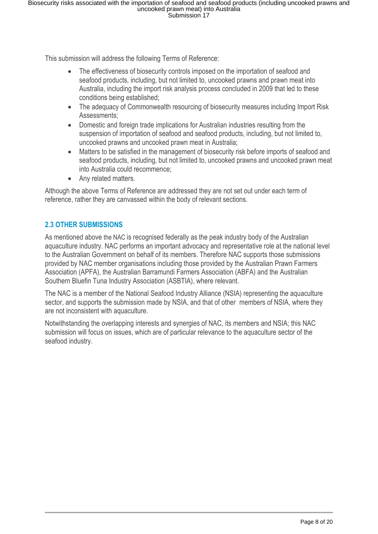This submission will address the following Terms of Reference:

- The effectiveness of biosecurity controls imposed on the importation of seafood and seafood products, including, but not limited to, uncooked prawns and prawn meat into Australia, including the import risk analysis process concluded in 2009 that led to these conditions being established;
- The adequacy of Commonwealth resourcing of biosecurity measures including Import Risk Assessments;
- Domestic and foreign trade implications for Australian industries resulting from the suspension of importation of seafood and seafood products, including, but not limited to, uncooked prawns and uncooked prawn meat in Australia;
- Matters to be satisfied in the management of biosecurity risk before imports of seafood and seafood products, including, but not limited to, uncooked prawns and uncooked prawn meat into Australia could recommence;
- Any related matters.

Although the above Terms of Reference are addressed they are not set out under each term of reference, rather they are canvassed within the body of relevant sections.

# **2.3 OTHER SUBMISSIONS**

As mentioned above the NAC is recognised federally as the peak industry body of the Australian aquaculture industry. NAC performs an important advocacy and representative role at the national level to the Australian Government on behalf of its members. Therefore NAC supports those submissions provided by NAC member organisations including those provided by the Australian Prawn Farmers Association (APFA), the Australian Barramundi Farmers Association (ABFA) and the Australian Southern Bluefin Tuna Industry Association (ASBTIA), where relevant.

The NAC is a member of the National Seafood Industry Alliance (NSIA) representing the aquaculture sector, and supports the submission made by NSIA, and that of other members of NSIA, where they are not inconsistent with aquaculture.

Notwithstanding the overlapping interests and synergies of NAC, its members and NSIA; this NAC submission will focus on issues, which are of particular relevance to the aquaculture sector of the seafood industry.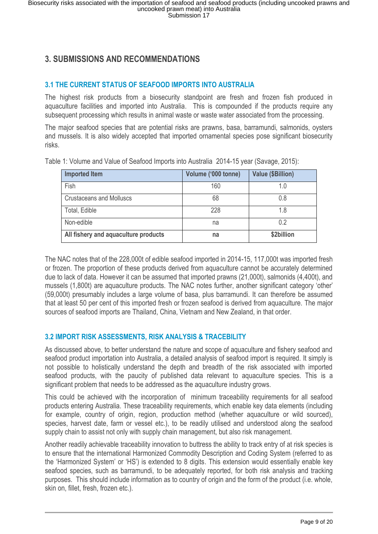# **3. SUBMISSIONS AND RECOMMENDATIONS**

# **3.1 THE CURRENT STATUS OF SEAFOOD IMPORTS INTO AUSTRALIA**

The highest risk products from a biosecurity standpoint are fresh and frozen fish produced in aquaculture facilities and imported into Australia. This is compounded if the products require any subsequent processing which results in animal waste or waste water associated from the processing.

The major seafood species that are potential risks are prawns, basa, barramundi, salmonids, oysters and mussels. It is also widely accepted that imported ornamental species pose significant biosecurity risks.

| <b>Imported Item</b>                 | Volume ('000 tonne) | <b>Value (\$Billion)</b> |
|--------------------------------------|---------------------|--------------------------|
| Fish                                 | 160                 |                          |
| <b>Crustaceans and Molluscs</b>      | 68                  | 0.8                      |
| Total, Edible                        | 228                 | 1.8                      |
| Non-edible                           | na                  | 0.2                      |
| All fishery and aquaculture products | na                  | \$2billion               |

Table 1: Volume and Value of Seafood Imports into Australia 2014-15 year (Savage, 2015):

The NAC notes that of the 228,000t of edible seafood imported in 2014-15, 117,000t was imported fresh or frozen. The proportion of these products derived from aquaculture cannot be accurately determined due to lack of data. However it can be assumed that imported prawns (21,000t), salmonids (4,400t), and mussels (1,800t) are aquaculture products. The NAC notes further, another significant category "other" (59,000t) presumably includes a large volume of basa, plus barramundi. It can therefore be assumed that at least 50 per cent of this imported fresh or frozen seafood is derived from aquaculture. The major sources of seafood imports are Thailand, China, Vietnam and New Zealand, in that order.

# **3.2 IMPORT RISK ASSESSMENTS, RISK ANALYSIS & TRACEBILITY**

As discussed above, to better understand the nature and scope of aquaculture and fishery seafood and seafood product importation into Australia, a detailed analysis of seafood import is required. It simply is not possible to holistically understand the depth and breadth of the risk associated with imported seafood products, with the paucity of published data relevant to aquaculture species. This is a significant problem that needs to be addressed as the aquaculture industry grows.

This could be achieved with the incorporation of minimum traceability requirements for all seafood products entering Australia. These traceability requirements, which enable key data elements (including for example, country of origin, region, production method (whether aquaculture or wild sourced), species, harvest date, farm or vessel etc.), to be readily utilised and understood along the seafood supply chain to assist not only with supply chain management, but also risk management.

Another readily achievable traceability innovation to buttress the ability to track entry of at risk species is to ensure that the international Harmonized Commodity Description and Coding System (referred to as the "Harmonized System" or "HS") is extended to 8 digits. This extension would essentially enable key seafood species, such as barramundi, to be adequately reported, for both risk analysis and tracking purposes. This should include information as to country of origin and the form of the product (i.e. whole, skin on, fillet, fresh, frozen etc.).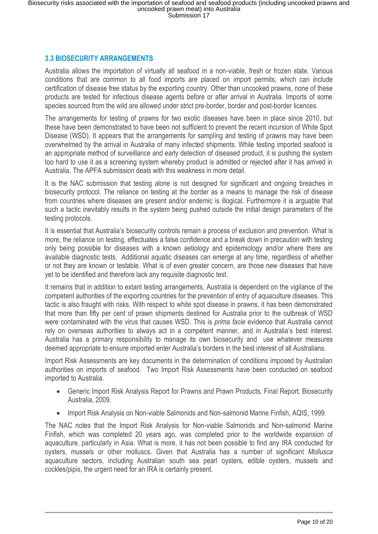### **3.3 BIOSECURITY ARRANGEMENTS**

Australia allows the importation of virtually all seafood in a non-viable, fresh or frozen state. Various conditions that are common to all food imports are placed on import permits, which can include certification of disease free status by the exporting country. Other than uncooked prawns, none of these products are tested for infectious disease agents before or after arrival in Australia. Imports of some species sourced from the wild are allowed under strict pre-border, border and post-border licences.

The arrangements for testing of prawns for two exotic diseases have been in place since 2010, but these have been demonstrated to have been not sufficient to prevent the recent incursion of White Spot Disease (WSD). It appears that the arrangements for sampling and testing of prawns may have been overwhelmed by the arrival in Australia of many infected shipments. While testing imported seafood is an appropriate method of surveillance and early detection of diseased product, it is pushing the system too hard to use it as a screening system whereby product is admitted or rejected after it has arrived in Australia. The APFA submission deals with this weakness in more detail.

It is the NAC submission that testing alone is not designed for significant and ongoing breaches in biosecurity protocol. The reliance on testing at the border as a means to manage the risk of disease from countries where diseases are present and/or endemic is illogical. Furthermore it is arguable that such a tactic inevitably results in the system being pushed outside the initial design parameters of the testing protocols.

It is essential that Australia"s biosecurity controls remain a process of exclusion and prevention. What is more, the reliance on testing, effectuates a false confidence and a break down in precaution with testing only being possible for diseases with a known aetiology and epidemiology and/or where there are available diagnostic tests. Additional aquatic diseases can emerge at any time, regardless of whether or not they are known or testable. What is of even greater concern, are those new diseases that have yet to be identified and therefore lack any requisite diagnostic test.

It remains that in addition to extant testing arrangements, Australia is dependent on the vigilance of the competent authorities of the exporting countries for the prevention of entry of aquaculture diseases. This tactic is also fraught with risks. With respect to white spot disease in prawns, it has been demonstrated that more than fifty per cent of prawn shipments destined for Australia prior to the outbreak of WSD were contaminated with the virus that causes WSD. This is *prima facie* evidence that Australia cannot rely on overseas authorities to always act in a competent manner, and in Australia's best interest. Australia has a primary responsibility to manage its own biosecurity and use whatever measures deemed appropriate to ensure imported enter Australia"s borders in the best interest of all Australians.

Import Risk Assessments are key documents in the determination of conditions imposed by Australian authorities on imports of seafood. Two Import Risk Assessments have been conducted on seafood imported to Australia.

- Generic Import Risk Analysis Report for Prawns and Prawn Products, Final Report. Biosecurity Australia, 2009.
- Import Risk Analysis on Non-viable Salmonids and Non-salmonid Marine Finfish, AQIS, 1999.

The NAC notes that the Import Risk Analysis for Non-viable Salmonids and Non-salmonid Marine Finfish, which was completed 20 years ago, was completed prior to the worldwide expansion of aquaculture, particularly in Asia. What is more, it has not been possible to find any IRA conducted for oysters, mussels or other molluscs. Given that Australia has a number of significant *Mollusca* aquaculture sectors, including Australian south sea pearl oysters, edible oysters, mussels and cockles/pipis, the urgent need for an IRA is certainly present.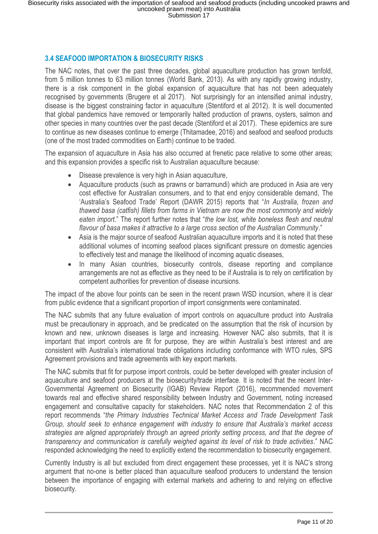# **3.4 SEAFOOD IMPORTATION & BIOSECURITY RISKS**

The NAC notes, that over the past three decades, global aquaculture production has grown tenfold, from 5 million tonnes to 63 million tonnes (World Bank, 2013). As with any rapidly growing industry, there is a risk component in the global expansion of aquaculture that has not been adequately recognised by governments (Brugere et al 2017). Not surprisingly for an intensified animal industry, disease is the biggest constraining factor in aquaculture (Stentiford et al 2012). It is well documented that global pandemics have removed or temporarily halted production of prawns, oysters, salmon and other species in many countries over the past decade (Stentiford et al 2017). These epidemics are sure to continue as new diseases continue to emerge (Thitamadee, 2016) and seafood and seafood products (one of the most traded commodities on Earth) continue to be traded.

The expansion of aquaculture in Asia has also occurred at frenetic pace relative to some other areas; and this expansion provides a specific risk to Australian aquaculture because:

- Disease prevalence is very high in Asian aquaculture,
- Aquaculture products (such as prawns or barramundi) which are produced in Asia are very cost effective for Australian consumers, and to that end enjoy considerable demand, The "Australia"s Seafood Trade" Report (DAWR 2015) reports that "*In Australia, frozen and thawed basa (catfish) fillets from farms in Vietnam are now the most commonly and widely eaten import*." The report further notes that "*the low lost, white boneless flesh and neutral flavour of basa makes it attractive to a large cross section of the Australian Community*."
- Asia is the major source of seafood Australian aquaculture imports and it is noted that these additional volumes of incoming seafood places significant pressure on domestic agencies to effectively test and manage the likelihood of incoming aquatic diseases,
- In many Asian countries, biosecurity controls, disease reporting and compliance arrangements are not as effective as they need to be if Australia is to rely on certification by competent authorities for prevention of disease incursions.

The impact of the above four points can be seen in the recent prawn WSD incursion, where it is clear from public evidence that a significant proportion of import consignments were contaminated.

The NAC submits that any future evaluation of import controls on aquaculture product into Australia must be precautionary in approach, and be predicated on the assumption that the risk of incursion by known and new, unknown diseases is large and increasing. However NAC also submits, that it is important that import controls are fit for purpose, they are within Australia's best interest and are consistent with Australia"s international trade obligations including conformance with WTO rules, SPS Agreement provisions and trade agreements with key export markets.

The NAC submits that fit for purpose import controls, could be better developed with greater inclusion of aquaculture and seafood producers at the biosecurity/trade interface. It is noted that the recent Inter-Governmental Agreement on Biosecurity (IGAB) Review Report (2016), recommended movement towards real and effective shared responsibility between Industry and Government, noting increased engagement and consultative capacity for stakeholders. NAC notes that Recommendation 2 of this report recommends "*the Primary Industries Technical Market Access and Trade Development Task Group, should seek to enhance engagement with industry to ensure that Australia's market access strategies are aligned appropriately through an agreed priority setting process, and that the degree of transparency and communication is carefully weighed against its level of risk to trade activities*." NAC responded acknowledging the need to explicitly extend the recommendation to biosecurity engagement.

Currently Industry is all but excluded from direct engagement these processes, yet it is NAC"s strong argument that no-one is better placed than aquaculture seafood producers to understand the tension between the importance of engaging with external markets and adhering to and relying on effective biosecurity.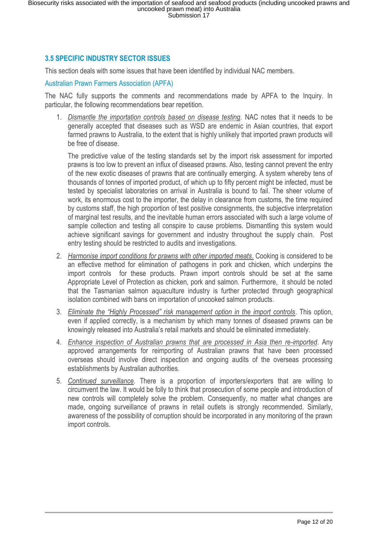### **3.5 SPECIFIC INDUSTRY SECTOR ISSUES**

This section deals with some issues that have been identified by individual NAC members.

#### Australian Prawn Farmers Association (APFA)

The NAC fully supports the comments and recommendations made by APFA to the Inquiry. In particular, the following recommendations bear repetition.

1. *Dismantle the importation controls based on disease testing.* NAC notes that it needs to be generally accepted that diseases such as WSD are endemic in Asian countries, that export farmed prawns to Australia, to the extent that is highly unlikely that imported prawn products will be free of disease.

The predictive value of the testing standards set by the import risk assessment for imported prawns is too low to prevent an influx of diseased prawns. Also, testing cannot prevent the entry of the new exotic diseases of prawns that are continually emerging. A system whereby tens of thousands of tonnes of imported product, of which up to fifty percent might be infected, must be tested by specialist laboratories on arrival in Australia is bound to fail. The sheer volume of work, its enormous cost to the importer, the delay in clearance from customs, the time required by customs staff, the high proportion of test positive consignments, the subjective interpretation of marginal test results, and the inevitable human errors associated with such a large volume of sample collection and testing all conspire to cause problems. Dismantling this system would achieve significant savings for government and industry throughout the supply chain. Post entry testing should be restricted to audits and investigations.

- 2. *Harmonise import conditions for prawns with other imported meats*. Cooking is considered to be an effective method for elimination of pathogens in pork and chicken, which underpins the import controls for these products. Prawn import controls should be set at the same Appropriate Level of Protection as chicken, pork and salmon. Furthermore, it should be noted that the Tasmanian salmon aquaculture industry is further protected through geographical isolation combined with bans on importation of uncooked salmon products.
- 3. *Eliminate the "Highly Processed" risk management option in the import controls*. This option, even if applied correctly, is a mechanism by which many tonnes of diseased prawns can be knowingly released into Australia"s retail markets and should be eliminated immediately.
- 4. *Enhance inspection of Australian prawns that are processed in Asia then re-imported*. Any approved arrangements for reimporting of Australian prawns that have been processed overseas should involve direct inspection and ongoing audits of the overseas processing establishments by Australian authorities.
- 5. *Continued surveillance.* There is a proportion of importers/exporters that are willing to circumvent the law. It would be folly to think that prosecution of some people and introduction of new controls will completely solve the problem. Consequently, no matter what changes are made, ongoing surveillance of prawns in retail outlets is strongly recommended. Similarly, awareness of the possibility of corruption should be incorporated in any monitoring of the prawn import controls.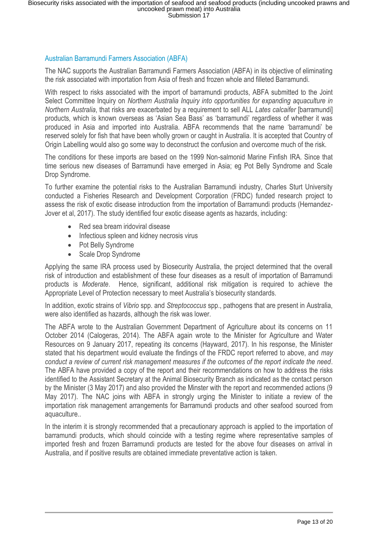### Australian Barramundi Farmers Association (ABFA)

The NAC supports the Australian Barramundi Farmers Association (ABFA) in its objective of eliminating the risk associated with importation from Asia of fresh and frozen whole and filleted Barramundi.

With respect to risks associated with the import of barramundi products, ABFA submitted to the Joint Select Committee Inquiry on *Northern Australia Inquiry into opportunities for expanding aquaculture in Northern Australia*, that risks are exacerbated by a requirement to sell ALL *Lates calcaifer* [barramundi] products, which is known overseas as "Asian Sea Bass" as "barramundi" regardless of whether it was produced in Asia and imported into Australia. ABFA recommends that the name "barramundi" be reserved solely for fish that have been wholly grown or caught in Australia. It is accepted that Country of Origin Labelling would also go some way to deconstruct the confusion and overcome much of the risk.

The conditions for these imports are based on the 1999 Non-salmonid Marine Finfish IRA. Since that time serious new diseases of Barramundi have emerged in Asia; eg Pot Belly Syndrome and Scale Drop Syndrome.

To further examine the potential risks to the Australian Barramundi industry, Charles Sturt University conducted a Fisheries Research and Development Corporation (FRDC) funded research project to assess the risk of exotic disease introduction from the importation of Barramundi products (Hernandez-Jover et al, 2017). The study identified four exotic disease agents as hazards, including:

- Red sea bream iridoviral disease
- Infectious spleen and kidney necrosis virus
- Pot Belly Syndrome
- Scale Drop Syndrome

Applying the same IRA process used by Biosecurity Australia, the project determined that the overall risk of introduction and establishment of these four diseases as a result of importation of Barramundi products is *Moderate*. Hence, significant, additional risk mitigation is required to achieve the Appropriate Level of Protection necessary to meet Australia"s biosecurity standards.

In addition, exotic strains of *Vibrio* spp. and *Streptococcus* spp., pathogens that are present in Australia, were also identified as hazards, although the risk was lower.

The ABFA wrote to the Australian Government Department of Agriculture about its concerns on 11 October 2014 (Calogeras, 2014). The ABFA again wrote to the Minister for Agriculture and Water Resources on 9 January 2017, repeating its concerns (Hayward, 2017). In his response, the Minister stated that his department would evaluate the findings of the FRDC report referred to above, and *may conduct a review of current risk management measures if the outcomes of the report indicate the need*. The ABFA have provided a copy of the report and their recommendations on how to address the risks identified to the Assistant Secretary at the Animal Biosecurity Branch as indicated as the contact person by the Minister (3 May 2017) and also provided the Minster with the report and recommended actions (9 May 2017). The NAC joins with ABFA in strongly urging the Minister to initiate a review of the importation risk management arrangements for Barramundi products and other seafood sourced from aquaculture..

In the interim it is strongly recommended that a precautionary approach is applied to the importation of barramundi products, which should coincide with a testing regime where representative samples of imported fresh and frozen Barramundi products are tested for the above four diseases on arrival in Australia, and if positive results are obtained immediate preventative action is taken.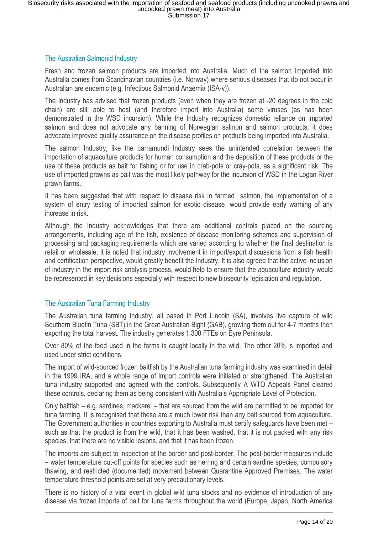### The Australian Salmonid Industry

Fresh and frozen salmon products are imported into Australia. Much of the salmon imported into Australia comes from Scandinavian countries (i.e. Norway) where serious diseases that do not occur in Australian are endemic (e.g. Infectious Salmonid Anaemia (ISA-v)).

The Industry has advised that frozen products (even when they are frozen at -20 degrees in the cold chain) are still able to host (and therefore import into Australia) some viruses (as has been demonstrated in the WSD incursion). While the Industry recognizes domestic reliance on imported salmon and does not advocate any banning of Norwegian salmon and salmon products, it does advocate improved quality assurance on the disease profiles on products being imported into Australia.

The salmon Industry, like the barramundi Industry sees the unintended correlation between the importation of aquaculture products for human consumption and the deposition of these products or the use of these products as bait for fishing or for use in crab-pots or cray-pots, as a significant risk. The use of imported prawns as bait was the most likely pathway for the incursion of WSD in the Logan River prawn farms.

It has been suggested that with respect to disease risk in farmed salmon, the implementation of a system of entry testing of imported salmon for exotic disease, would provide early warning of any increase in risk.

Although the Industry acknowledges that there are additional controls placed on the sourcing arrangements, including age of the fish, existence of disease monitoring schemes and supervision of processing and packaging requirements which are varied according to whether the final destination is retail or wholesale; it is noted that industry involvement in import/export discussions from a fish health and certification perspective, would greatly benefit the Industry. It is also agreed that the active inclusion of industry in the import risk analysis process, would help to ensure that the aquaculture industry would be represented in key decisions especially with respect to new biosecurity legislation and regulation.

# The Australian Tuna Farming Industry

The Australian tuna farming industry, all based in Port Lincoln (SA), involves live capture of wild Southern Bluefin Tuna (SBT) in the Great Australian Bight (GAB), growing them out for 4-7 months then exporting the total harvest. The industry generates 1,300 FTEs on Eyre Peninsula.

Over 80% of the feed used in the farms is caught locally in the wild. The other 20% is imported and used under strict conditions.

The import of wild-sourced frozen baitfish by the Australian tuna farming industry was examined in detail in the 1999 IRA, and a whole range of import controls were initiated or strengthened. The Australian tuna industry supported and agreed with the controls. Subsequently A WTO Appeals Panel cleared these controls, declaring them as being consistent with Australia"s Appropriate Level of Protection.

Only baitfish – e.g. sardines, mackerel – that are sourced from the wild are permitted to be imported for tuna farming. It is recognised that these are a much lower risk than any bait sourced from aquaculture. The Government authorities in countries exporting to Australia must certify safeguards have been met – such as that the product is from the wild, that it has been washed, that it is not packed with any risk species, that there are no visible lesions, and that it has been frozen.

The imports are subject to inspection at the border and post-border. The post-border measures include – water temperature cut-off points for species such as herring and certain sardine species, compulsory thawing, and restricted (documented) movement between Quarantine Approved Premises. The water temperature threshold points are set at very precautionary levels.

There is no history of a viral event in global wild tuna stocks and no evidence of introduction of any disease via frozen imports of bait for tuna farms throughout the world (Europe, Japan, North America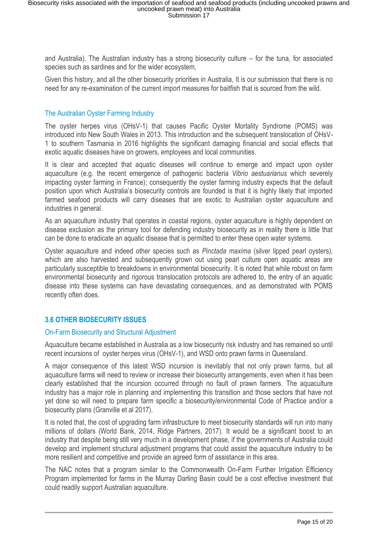and Australia). The Australian industry has a strong biosecurity culture – for the tuna, for associated species such as sardines and for the wider ecosystem,

Given this history, and all the other biosecurity priorities in Australia, It is our submission that there is no need for any re-examination of the current import measures for baitfish that is sourced from the wild.

### The Australian Oyster Farming Industry

The oyster herpes virus (OHsV-1) that causes Pacific Oyster Mortality Syndrome (POMS) was introduced into New South Wales in 2013. This introduction and the subsequent translocation of OHsV-1 to southern Tasmania in 2016 highlights the significant damaging financial and social effects that exotic aquatic diseases have on growers, employees and local communities.

It is clear and accepted that aquatic diseases will continue to emerge and impact upon oyster aquaculture (e.g. the recent emergence of pathogenic bacteria *Vibrio aestuarianus* which severely impacting oyster farming in France); consequently the oyster farming industry expects that the default position upon which Australia"s biosecurity controls are founded is that it is highly likely that imported farmed seafood products will carry diseases that are exotic to Australian oyster aquaculture and industries in general.

As an aquaculture industry that operates in coastal regions, oyster aquaculture is highly dependent on disease exclusion as the primary tool for defending industry biosecurity as in reality there is little that can be done to eradicate an aquatic disease that is permitted to enter these open water systems.

Oyster aquaculture and indeed other species such as *Pinctada maxima* (silver lipped pearl oysters), which are also harvested and subsequently grown out using pearl culture open aquatic areas are particularly susceptible to breakdowns in environmental biosecurity. It is noted that while robust on farm environmental biosecurity and rigorous translocation protocols are adhered to, the entry of an aquatic disease into these systems can have devastating consequences, and as demonstrated with POMS recently often does.

# **3.6 OTHER BIOSECURITY ISSUES**

#### On-Farm Biosecurity and Structural Adjustment

Aquaculture became established in Australia as a low biosecurity risk industry and has remained so until recent incursions of oyster herpes virus (OHsV-1), and WSD onto prawn farms in Queensland.

A major consequence of this latest WSD incursion is inevitably that not only prawn farms, but all aquaculture farms will need to review or increase their biosecurity arrangements, even when it has been clearly established that the incursion occurred through no fault of prawn farmers. The aquaculture industry has a major role in planning and implementing this transition and those sectors that have not yet done so will need to prepare farm specific a biosecurity/environmental Code of Practice and/or a biosecurity plans (Granville et al 2017).

It is noted that, the cost of upgrading farm infrastructure to meet biosecurity standards will run into many millions of dollars (World Bank, 2014, Ridge Partners, 2017). It would be a significant boost to an industry that despite being still very much in a development phase, if the governments of Australia could develop and implement structural adjustment programs that could assist the aquaculture industry to be more resilient and competitive and provide an agreed form of assistance in this area.

The NAC notes that a program similar to the Commonwealth On-Farm Further Irrigation Efficiency Program implemented for farms in the Murray Darling Basin could be a cost effective investment that could readily support Australian aquaculture.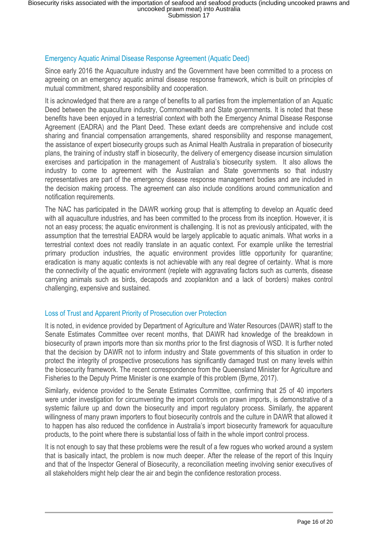### Emergency Aquatic Animal Disease Response Agreement (Aquatic Deed)

Since early 2016 the Aquaculture industry and the Government have been committed to a process on agreeing on an emergency aquatic animal disease response framework, which is built on principles of mutual commitment, shared responsibility and cooperation.

It is acknowledged that there are a range of benefits to all parties from the implementation of an Aquatic Deed between the aquaculture industry, Commonwealth and State governments. It is noted that these benefits have been enjoyed in a terrestrial context with both the Emergency Animal Disease Response Agreement (EADRA) and the Plant Deed. These extant deeds are comprehensive and include cost sharing and financial compensation arrangements, shared responsibility and response management, the assistance of expert biosecurity groups such as Animal Health Australia in preparation of biosecurity plans, the training of industry staff in biosecurity, the delivery of emergency disease incursion simulation exercises and participation in the management of Australia"s biosecurity system. It also allows the industry to come to agreement with the Australian and State governments so that industry representatives are part of the emergency disease response management bodies and are included in the decision making process. The agreement can also include conditions around communication and notification requirements.

The NAC has participated in the DAWR working group that is attempting to develop an Aquatic deed with all aquaculture industries, and has been committed to the process from its inception. However, it is not an easy process; the aquatic environment is challenging. It is not as previously anticipated, with the assumption that the terrestrial EADRA would be largely applicable to aquatic animals. What works in a terrestrial context does not readily translate in an aquatic context. For example unlike the terrestrial primary production industries, the aquatic environment provides little opportunity for quarantine; eradication is many aquatic contexts is not achievable with any real degree of certainty. What is more the connectivity of the aquatic environment (replete with aggravating factors such as currents, disease carrying animals such as birds, decapods and zooplankton and a lack of borders) makes control challenging, expensive and sustained.

#### Loss of Trust and Apparent Priority of Prosecution over Protection

It is noted, in evidence provided by Department of Agriculture and Water Resources (DAWR) staff to the Senate Estimates Committee over recent months, that DAWR had knowledge of the breakdown in biosecurity of prawn imports more than six months prior to the first diagnosis of WSD. It is further noted that the decision by DAWR not to inform industry and State governments of this situation in order to protect the integrity of prospective prosecutions has significantly damaged trust on many levels within the biosecurity framework. The recent correspondence from the Queensland Minister for Agriculture and Fisheries to the Deputy Prime Minister is one example of this problem (Byrne, 2017).

Similarly, evidence provided to the Senate Estimates Committee, confirming that 25 of 40 importers were under investigation for circumventing the import controls on prawn imports, is demonstrative of a systemic failure up and down the biosecurity and import regulatory process. Similarly, the apparent willingness of many prawn importers to flout biosecurity controls and the culture in DAWR that allowed it to happen has also reduced the confidence in Australia's import biosecurity framework for aquaculture products, to the point where there is substantial loss of faith in the whole import control process.

It is not enough to say that these problems were the result of a few rogues who worked around a system that is basically intact, the problem is now much deeper. After the release of the report of this Inquiry and that of the Inspector General of Biosecurity, a reconciliation meeting involving senior executives of all stakeholders might help clear the air and begin the confidence restoration process.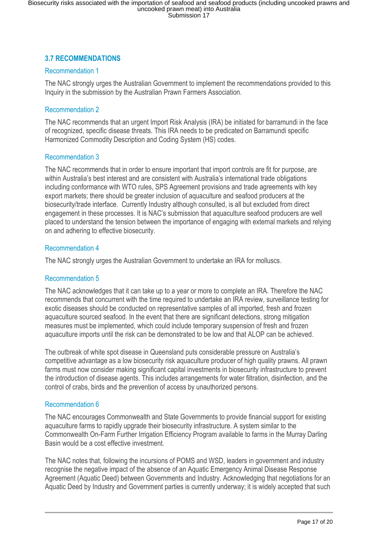# **3.7 RECOMMENDATIONS**

#### Recommendation 1

The NAC strongly urges the Australian Government to implement the recommendations provided to this Inquiry in the submission by the Australian Prawn Farmers Association.

#### Recommendation 2

The NAC recommends that an urgent Import Risk Analysis (IRA) be initiated for barramundi in the face of recognized, specific disease threats. This IRA needs to be predicated on Barramundi specific Harmonized Commodity Description and Coding System (HS) codes.

#### Recommendation 3

The NAC recommends that in order to ensure important that import controls are fit for purpose, are within Australia's best interest and are consistent with Australia's international trade obligations including conformance with WTO rules, SPS Agreement provisions and trade agreements with key export markets; there should be greater inclusion of aquaculture and seafood producers at the biosecurity/trade interface. Currently Industry although consulted, is all but excluded from direct engagement in these processes. It is NAC"s submission that aquaculture seafood producers are well placed to understand the tension between the importance of engaging with external markets and relying on and adhering to effective biosecurity.

#### Recommendation 4

The NAC strongly urges the Australian Government to undertake an IRA for molluscs.

#### Recommendation 5

The NAC acknowledges that it can take up to a year or more to complete an IRA. Therefore the NAC recommends that concurrent with the time required to undertake an IRA review, surveillance testing for exotic diseases should be conducted on representative samples of all imported, fresh and frozen aquaculture sourced seafood. In the event that there are significant detections, strong mitigation measures must be implemented, which could include temporary suspension of fresh and frozen aquaculture imports until the risk can be demonstrated to be low and that ALOP can be achieved.

The outbreak of white spot disease in Queensland puts considerable pressure on Australia"s competitive advantage as a low biosecurity risk aquaculture producer of high quality prawns. All prawn farms must now consider making significant capital investments in biosecurity infrastructure to prevent the introduction of disease agents. This includes arrangements for water filtration, disinfection, and the control of crabs, birds and the prevention of access by unauthorized persons.

#### Recommendation 6

The NAC encourages Commonwealth and State Governments to provide financial support for existing aquaculture farms to rapidly upgrade their biosecurity infrastructure. A system similar to the Commonwealth On-Farm Further Irrigation Efficiency Program available to farms in the Murray Darling Basin would be a cost effective investment.

The NAC notes that, following the incursions of POMS and WSD, leaders in government and industry recognise the negative impact of the absence of an Aquatic Emergency Animal Disease Response Agreement (Aquatic Deed) between Governments and Industry. Acknowledging that negotiations for an Aquatic Deed by Industry and Government parties is currently underway; it is widely accepted that such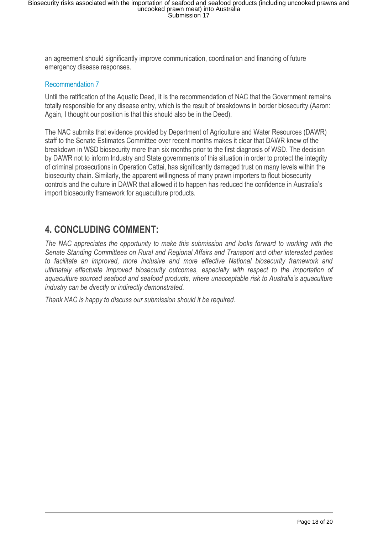an agreement should significantly improve communication, coordination and financing of future emergency disease responses.

#### Recommendation 7

Until the ratification of the Aquatic Deed, It is the recommendation of NAC that the Government remains totally responsible for any disease entry, which is the result of breakdowns in border biosecurity.(Aaron: Again, I thought our position is that this should also be in the Deed).

The NAC submits that evidence provided by Department of Agriculture and Water Resources (DAWR) staff to the Senate Estimates Committee over recent months makes it clear that DAWR knew of the breakdown in WSD biosecurity more than six months prior to the first diagnosis of WSD. The decision by DAWR not to inform Industry and State governments of this situation in order to protect the integrity of criminal prosecutions in Operation Cattai, has significantly damaged trust on many levels within the biosecurity chain. Similarly, the apparent willingness of many prawn importers to flout biosecurity controls and the culture in DAWR that allowed it to happen has reduced the confidence in Australia"s import biosecurity framework for aquaculture products.

# **4. CONCLUDING COMMENT:**

*The NAC appreciates the opportunity to make this submission and looks forward to working with the Senate Standing Committees on Rural and Regional Affairs and Transport and other interested parties to facilitate an improved, more inclusive and more effective National biosecurity framework and ultimately effectuate improved biosecurity outcomes, especially with respect to the importation of aquaculture sourced seafood and seafood products, where unacceptable risk to Australia's aquaculture industry can be directly or indirectly demonstrated.*

*Thank NAC is happy to discuss our submission should it be required.*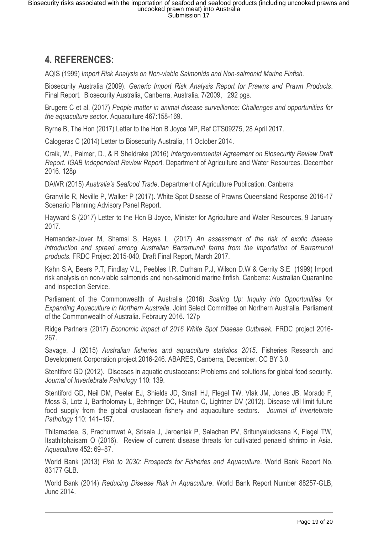# **4. REFERENCES:**

AQIS (1999) *Import Risk Analysis on Non-viable Salmonids and Non-salmonid Marine Finfish.* 

Biosecurity Australia (2009). *Generic Import Risk Analysis Report for Prawns and Prawn Products*. Final Report. Biosecurity Australia, Canberra, Australia. 7/2009, 292 pgs.

Brugere C et al, (2017) *People matter in animal disease surveillance: Challenges and opportunities for the aquaculture sector.* Aquaculture 467:158-169.

Byrne B, The Hon (2017) Letter to the Hon B Joyce MP, Ref CTS09275, 28 April 2017.

Calogeras C (2014) Letter to Biosecurity Australia, 11 October 2014.

Craik, W., Palmer, D., & R Sheldrake (2016) *Intergovernmental Agreement on Biosecurity Review Draft Report. IGAB Independent Review Repor*t. Department of Agriculture and Water Resources. December 2016. 128p

DAWR (2015) *Australia's Seafood Trade*. Department of Agriculture Publication. Canberra

Granville R, Neville P, Walker P (2017). White Spot Disease of Prawns Queensland Response 2016-17 Scenario Planning Advisory Panel Report.

Hayward S (2017) Letter to the Hon B Joyce, Minister for Agriculture and Water Resources, 9 January 2017.

Hernandez-Jover M, Shamsi S, Hayes L. (2017) *An assessment of the risk of exotic disease introduction and spread among Australian Barramundi farms from the importation of Barramundi products*. FRDC Project 2015-040, Draft Final Report, March 2017.

Kahn S.A, Beers P.T, Findlay V.L, Peebles I.R, Durham P.J, Wilson D.W & Gerrity S.E (1999) Import risk analysis on non-viable salmonids and non-salmonid marine finfish. Canberra: Australian Quarantine and Inspection Service.

Parliament of the Commonwealth of Australia (2016) *Scaling Up: Inquiry into Opportunities for Expanding Aquaculture in Northern Australia*. Joint Select Committee on Northern Australia. Parliament of the Commonwealth of Australia. Febraury 2016. 127p

Ridge Partners (2017) *Economic impact of 2016 White Spot Disease Outbreak.* FRDC project 2016- 267.

Savage, J (2015) *Australian fisheries and aquaculture statistics 2015*. Fisheries Research and Development Corporation project 2016-246. ABARES, Canberra, December. CC BY 3.0.

Stentiford GD (2012). Diseases in aquatic crustaceans: Problems and solutions for global food security. *Journal of Invertebrate Pathology* 110: 139.

Stentiford GD, Neil DM, Peeler EJ, Shields JD, Small HJ, Flegel TW, Vlak JM, Jones JB, Morado F, Moss S, Lotz J, Bartholomay L, Behringer DC, Hauton C, Lightner DV (2012). Disease will limit future food supply from the global crustacean fishery and aquaculture sectors. *Journal of Invertebrate Pathology* 110: 141–157.

Thitamadee, S, Prachumwat A, Srisala J, Jaroenlak P, Salachan PV, Sritunyalucksana K, Flegel TW, Itsathitphaisarn O (2016). Review of current disease threats for cultivated penaeid shrimp in Asia. *Aquaculture* 452: 69–87.

World Bank (2013) *Fish to 2030: Prospects for Fisheries and Aquaculture*. World Bank Report No. 83177 GLB.

World Bank (2014) *Reducing Disease Risk in Aquaculture*. World Bank Report Number 88257-GLB, June 2014.